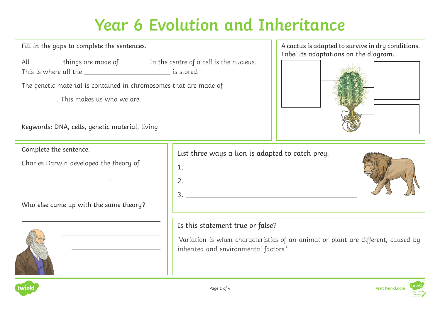Fill in the gaps to complete the sentences.

All \_\_\_\_\_\_\_\_ things are made of \_\_\_\_\_\_\_. In the centre of a cell is the nucleus. This is where all the is stored.

The genetic material is contained in chromosomes that are made of

. This makes us who we are.

| Keywords: DNA, cells, genetic material, living |  |  |  |
|------------------------------------------------|--|--|--|
|                                                |  |  |  |

Complete the sentence.

Charles Darwin developed the theory of

.

Who else came up with the same theory?



List three ways a lion is adapted to catch prey. 1.





#### Is this statement true or false?

'Variation is when characteristics of an animal or plant are different, caused by inherited and environmental factors.'



 $\overline{a}$ 



 $\overline{a}$ 

A cactus is adapted to survive in dry conditions. Label its adaptations on the diagram.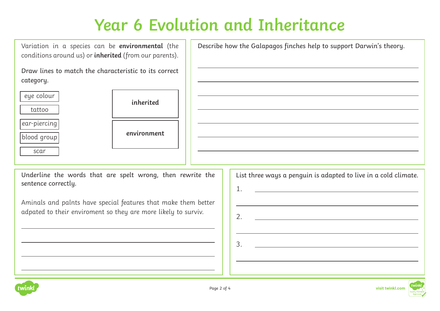$\overline{a}$ 

 $\overline{a}$ 

 $\overline{a}$ 

 $\overline{a}$ 

 $\overline{a}$ 

 $\overline{a}$ 

 $\overline{a}$ 

Variation in a species can be **environmental** (the conditions around us) or **inherited** (from our parents).

Draw lines to match the characteristic to its correct category.

| inho   | eye colour   |
|--------|--------------|
|        | tattoo       |
|        | ear-piercing |
| enviro | blood group  |
|        | scar         |

| inherited   |  |
|-------------|--|
| environment |  |

Describe how the Galapagos finches help to support Darwin's theory.

Underline the words that are spelt wrong, then rewrite the sentence correctly.

Aminals and palnts have special features that make them better adpated to their enviroment so they are more likely to surviv.

| List three ways a penguin is adapted to live in a cold climate. |
|-----------------------------------------------------------------|
| 1.                                                              |
|                                                                 |
| 2.                                                              |
|                                                                 |
| 3.                                                              |
|                                                                 |
|                                                                 |



 $\overline{a}$ 

 $\overline{a}$ 

 $\overline{a}$ 

 $\overline{a}$ 

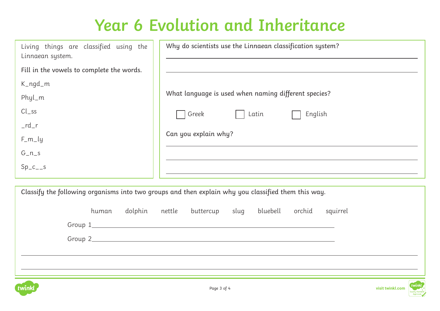| Living things are classified using the<br>Linnaean system. | Why do scientists use the Linnaean classification system? |
|------------------------------------------------------------|-----------------------------------------------------------|
| Fill in the vowels to complete the words.                  |                                                           |
| $K_n q d_m$                                                |                                                           |
| Phyl_m                                                     | What language is used when naming different species?      |
| $Cl\_ss$                                                   | Greek<br>Latin<br>English                                 |
| $_r$ rd $_r$                                               |                                                           |
| $F_m_{y}$                                                  | Can you explain why?                                      |
| $G_n$                                                      |                                                           |
| $Sp_{c_2}$                                                 |                                                           |

Classify the following organisms into two groups and then explain why you classified them this way. human dolphin nettle buttercup slug bluebell orchid squirrel Group 1 Group 2  $\overline{a}$  $\overline{a}$ 



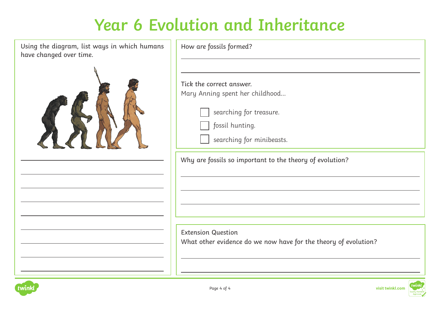Using the diagram, list ways in which hum have changed over time.



| Tick the correct answer.                                 |
|----------------------------------------------------------|
| Mary Anning spent her childhood                          |
| searching for treasure.                                  |
| fossil hunting.                                          |
| searching for minibeasts.                                |
| Why are fossils so important to the theory of evolution? |
|                                                          |
|                                                          |
|                                                          |

What other evidence do we now have for the theory of evolution?



 $\overline{a}$ 

 $\overline{a}$ 

 $\overline{a}$ 

 $\overline{a}$ 

 $\overline{a}$ 

 $\overline{a}$ 

 $\overline{a}$ 

 $\overline{a}$ 

 $\overline{a}$ 

 $\overline{a}$ 

 $\overline{a}$ 

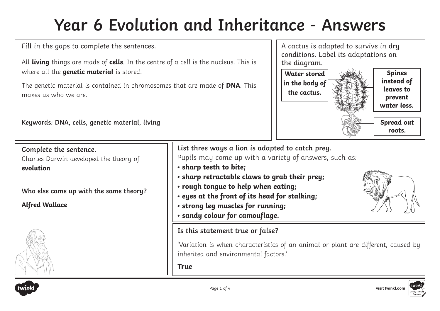Fill in the gaps to complete the sentences.

All **living** things are made of **cells**. In the centre of a cell is the nucleus. This is where all the **genetic material** is stored.

The genetic material is contained in chromosomes that are made of **DNA**. This makes us who we are.



**Keywords: DNA, cells, genetic material, living**

**Complete the sentence.** Charles Darwin developed the theory of **evolution**. **Who else came up with the same theory? Alfred Wallace Is this statement true or false? List three ways a lion is adapted to catch prey.** Pupils may come up with a variety of answers, such as: **• sharp teeth to bite; • sharp retractable claws to grab their prey; • rough tongue to help when eating; • eyes at the front of its head for stalking; • strong leg muscles for running; • sandy colour for camouflage.**

> 'Variation is when characteristics of an animal or plant are different, caused by inherited and environmental factors.'

**True** 



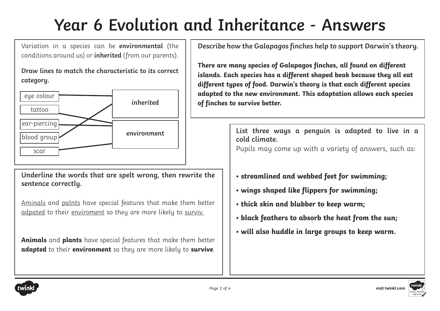Variation in a species can be **environmental** (the conditions around us) or **inherited** (from our parents).

**Draw lines to match the characteristic to its correct category.** 



**Underline the words that are spelt wrong, then rewrite the sentence correctly.** 

Aminals and palnts have special features that make them better adpated to their enviroment so they are more likely to surviv.

**Animals** and **plants** have special features that make them better **adapted** to their **environment** so they are more likely to **survive**.

**Describe how the Galapagos finches help to support Darwin's theory.** 

**There are many species of Galapagos finches, all found on different islands. Each species has a different shaped beak because they all eat different types of food. Darwin's theory is that each different species adapted to the new environment. This adaptation allows each species of finches to survive better.**

> **List three ways a penguin is adapted to live in a cold climate.**

Pupils may come up with a variety of answers, such as:

- **streamlined and webbed feet for swimming;**
- **wings shaped like flippers for swimming;**
- **thick skin and blubber to keep warm;**
- **black feathers to absorb the heat from the sun;**
- **will also huddle in large groups to keep warm.**



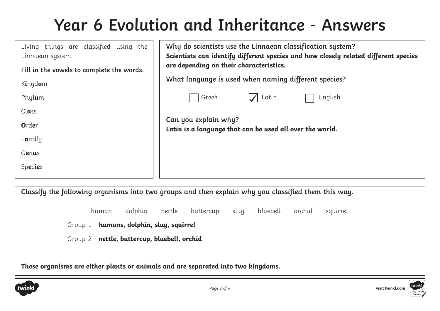| Living things are classified using the<br>Linnaean system. | Why do scientists use the Linnaean classification system?<br>Scientists can identify different species and how closely related different species<br>are depending on their characteristics. |
|------------------------------------------------------------|---------------------------------------------------------------------------------------------------------------------------------------------------------------------------------------------|
| Fill in the vowels to complete the words.                  |                                                                                                                                                                                             |
| Kingdom                                                    | What language is used when naming different species?                                                                                                                                        |
| Phylum                                                     | Greek<br>Latin<br>English                                                                                                                                                                   |
| $Cl$ ass                                                   |                                                                                                                                                                                             |
| Order                                                      | Can you explain why?<br>Latin is a language that can be used all over the world.                                                                                                            |
| Family                                                     |                                                                                                                                                                                             |
| Genus                                                      |                                                                                                                                                                                             |
| Species                                                    |                                                                                                                                                                                             |
|                                                            |                                                                                                                                                                                             |

**Classify the following organisms into two groups and then explain why you classified them this way.** 

human dolphin nettle buttercup slug bluebell orchid squirrel

Group 1 **humans, dolphin, slug, squirrel** 

Group 2 **nettle, buttercup, bluebell, orchid** 

**These organisms are either plants or animals and are separated into two kingdoms.**